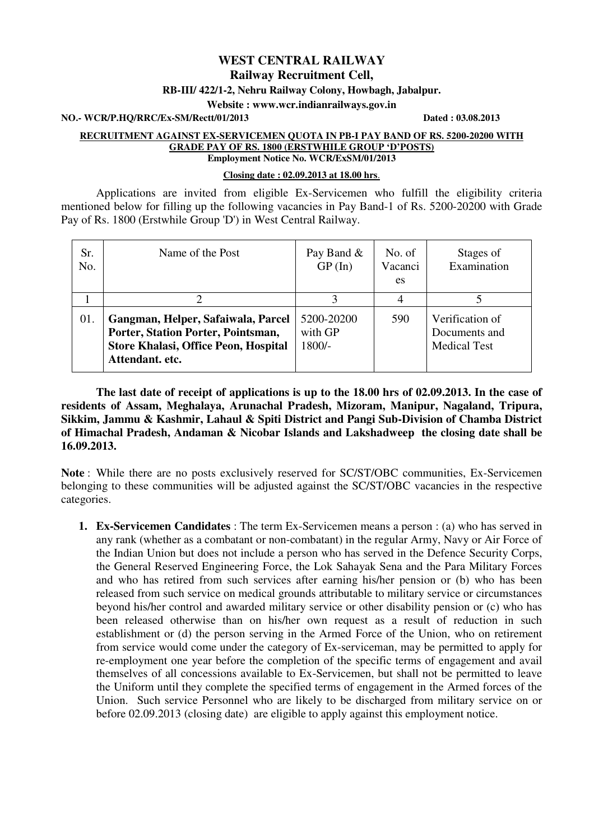# **WEST CENTRAL RAILWAY Railway Recruitment Cell,**

#### **RB-III/ 422/1-2, Nehru Railway Colony, Howbagh, Jabalpur.**

**Website : www.wcr.indianrailways.gov.in** 

**NO.- WCR/P.HQ/RRC/Ex-SM/Rectt/01/2013 Dated : 03.08.2013** 

#### **RECRUITMENT AGAINST EX-SERVICEMEN QUOTA IN PB-I PAY BAND OF RS. 5200-20200 WITH GRADE PAY OF RS. 1800 (ERSTWHILE GROUP 'D'POSTS) Employment Notice No. WCR/ExSM/01/2013**

#### **Closing date : 02.09.2013 at 18.00 hrs**.

 Applications are invited from eligible Ex-Servicemen who fulfill the eligibility criteria mentioned below for filling up the following vacancies in Pay Band-1 of Rs. 5200-20200 with Grade Pay of Rs. 1800 (Erstwhile Group 'D') in West Central Railway.

| Sr.<br>No. | Name of the Post                                                                                                                           | Pay Band &<br>GP(In)              | No. of<br>Vacanci<br>es | Stages of<br>Examination                                |
|------------|--------------------------------------------------------------------------------------------------------------------------------------------|-----------------------------------|-------------------------|---------------------------------------------------------|
|            |                                                                                                                                            |                                   |                         |                                                         |
| 01.        | Gangman, Helper, Safaiwala, Parcel<br>Porter, Station Porter, Pointsman,<br><b>Store Khalasi, Office Peon, Hospital</b><br>Attendant. etc. | 5200-20200<br>with GP<br>$1800/-$ | 590                     | Verification of<br>Documents and<br><b>Medical Test</b> |

 **The last date of receipt of applications is up to the 18.00 hrs of 02.09.2013. In the case of residents of Assam, Meghalaya, Arunachal Pradesh, Mizoram, Manipur, Nagaland, Tripura, Sikkim, Jammu & Kashmir, Lahaul & Spiti District and Pangi Sub-Division of Chamba District of Himachal Pradesh, Andaman & Nicobar Islands and Lakshadweep the closing date shall be 16.09.2013.** 

**Note** : While there are no posts exclusively reserved for SC/ST/OBC communities, Ex-Servicemen belonging to these communities will be adjusted against the SC/ST/OBC vacancies in the respective categories.

**1. Ex-Servicemen Candidates** : The term Ex-Servicemen means a person : (a) who has served in any rank (whether as a combatant or non-combatant) in the regular Army, Navy or Air Force of the Indian Union but does not include a person who has served in the Defence Security Corps, the General Reserved Engineering Force, the Lok Sahayak Sena and the Para Military Forces and who has retired from such services after earning his/her pension or (b) who has been released from such service on medical grounds attributable to military service or circumstances beyond his/her control and awarded military service or other disability pension or (c) who has been released otherwise than on his/her own request as a result of reduction in such establishment or (d) the person serving in the Armed Force of the Union, who on retirement from service would come under the category of Ex-serviceman, may be permitted to apply for re-employment one year before the completion of the specific terms of engagement and avail themselves of all concessions available to Ex-Servicemen, but shall not be permitted to leave the Uniform until they complete the specified terms of engagement in the Armed forces of the Union. Such service Personnel who are likely to be discharged from military service on or before 02.09.2013 (closing date) are eligible to apply against this employment notice.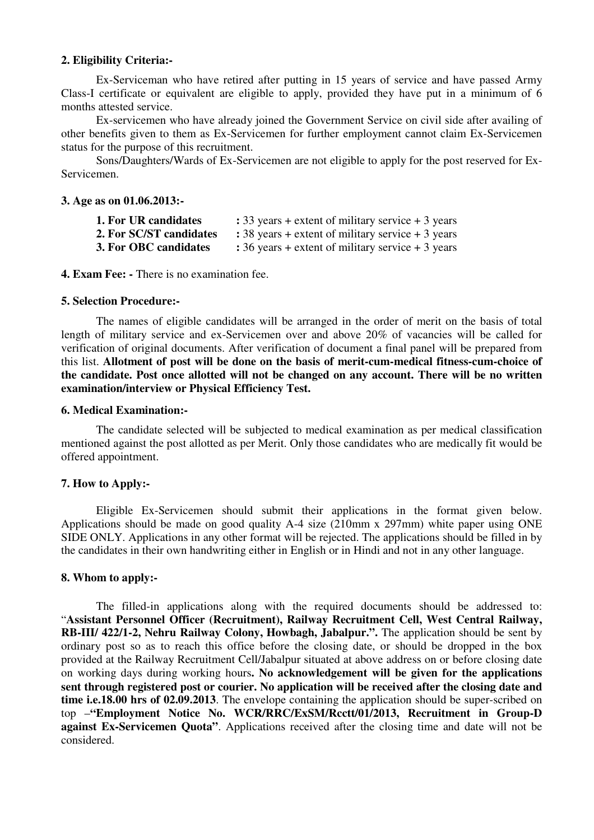# **2. Eligibility Criteria:-**

 Ex-Serviceman who have retired after putting in 15 years of service and have passed Army Class-I certificate or equivalent are eligible to apply, provided they have put in a minimum of 6 months attested service.

 Ex-servicemen who have already joined the Government Service on civil side after availing of other benefits given to them as Ex-Servicemen for further employment cannot claim Ex-Servicemen status for the purpose of this recruitment.

 Sons/Daughters/Wards of Ex-Servicemen are not eligible to apply for the post reserved for Ex-Servicemen.

#### **3. Age as on 01.06.2013:-**

| 1. For UR candidates    | : 33 years + extent of military service $+3$ years |
|-------------------------|----------------------------------------------------|
| 2. For SC/ST candidates | : 38 years + extent of military service $+3$ years |
| 3. For OBC candidates   | : 36 years + extent of military service $+3$ years |

**4. Exam Fee: -** There is no examination fee.

## **5. Selection Procedure:-**

 The names of eligible candidates will be arranged in the order of merit on the basis of total length of military service and ex-Servicemen over and above 20% of vacancies will be called for verification of original documents. After verification of document a final panel will be prepared from this list. **Allotment of post will be done on the basis of merit-cum-medical fitness-cum-choice of the candidate. Post once allotted will not be changed on any account. There will be no written examination/interview or Physical Efficiency Test.** 

#### **6. Medical Examination:-**

 The candidate selected will be subjected to medical examination as per medical classification mentioned against the post allotted as per Merit. Only those candidates who are medically fit would be offered appointment.

## **7. How to Apply:-**

 Eligible Ex-Servicemen should submit their applications in the format given below. Applications should be made on good quality A-4 size (210mm x 297mm) white paper using ONE SIDE ONLY. Applications in any other format will be rejected. The applications should be filled in by the candidates in their own handwriting either in English or in Hindi and not in any other language.

## **8. Whom to apply:-**

 The filled-in applications along with the required documents should be addressed to: "**Assistant Personnel Officer (Recruitment), Railway Recruitment Cell, West Central Railway, RB-III/ 422/1-2, Nehru Railway Colony, Howbagh, Jabalpur.".** The application should be sent by ordinary post so as to reach this office before the closing date, or should be dropped in the box provided at the Railway Recruitment Cell/Jabalpur situated at above address on or before closing date on working days during working hours**. No acknowledgement will be given for the applications sent through registered post or courier. No application will be received after the closing date and time i.e.18.00 hrs of 02.09.2013**. The envelope containing the application should be super-scribed on top –**"Employment Notice No. WCR/RRC/ExSM/Rcctt/01/2013, Recruitment in Group-D against Ex-Servicemen Quota"**. Applications received after the closing time and date will not be considered.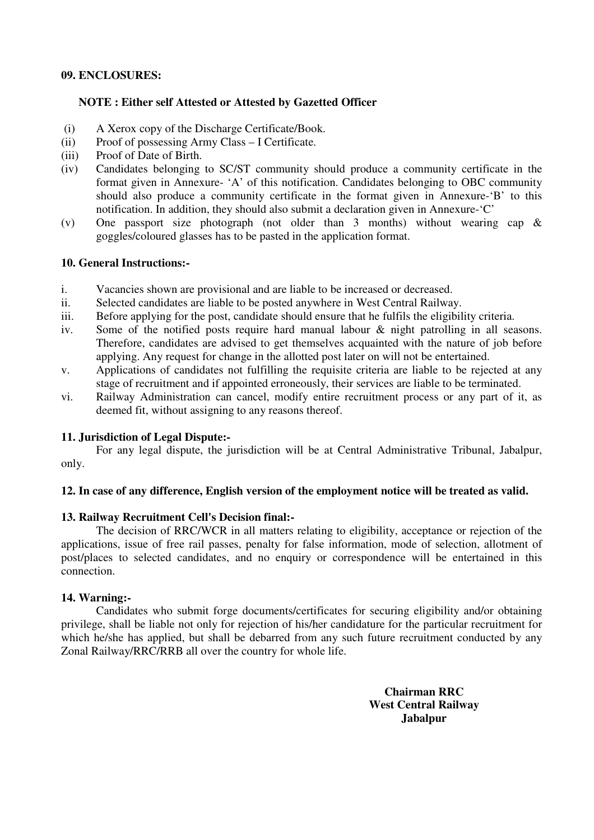# **09. ENCLOSURES:**

# **NOTE : Either self Attested or Attested by Gazetted Officer**

- (i) A Xerox copy of the Discharge Certificate/Book.
- (ii) Proof of possessing Army Class I Certificate.
- (iii) Proof of Date of Birth.
- (iv) Candidates belonging to SC/ST community should produce a community certificate in the format given in Annexure- 'A' of this notification. Candidates belonging to OBC community should also produce a community certificate in the format given in Annexure-'B' to this notification. In addition, they should also submit a declaration given in Annexure-'C'
- (v) One passport size photograph (not older than 3 months) without wearing cap & goggles/coloured glasses has to be pasted in the application format.

# **10. General Instructions:-**

- i. Vacancies shown are provisional and are liable to be increased or decreased.
- ii. Selected candidates are liable to be posted anywhere in West Central Railway.
- iii. Before applying for the post, candidate should ensure that he fulfils the eligibility criteria.
- iv. Some of the notified posts require hard manual labour & night patrolling in all seasons. Therefore, candidates are advised to get themselves acquainted with the nature of job before applying. Any request for change in the allotted post later on will not be entertained.
- v. Applications of candidates not fulfilling the requisite criteria are liable to be rejected at any stage of recruitment and if appointed erroneously, their services are liable to be terminated.
- vi. Railway Administration can cancel, modify entire recruitment process or any part of it, as deemed fit, without assigning to any reasons thereof.

## **11. Jurisdiction of Legal Dispute:-**

For any legal dispute, the jurisdiction will be at Central Administrative Tribunal, Jabalpur, only.

## **12. In case of any difference, English version of the employment notice will be treated as valid.**

# **13. Railway Recruitment Cell's Decision final:-**

The decision of RRC/WCR in all matters relating to eligibility, acceptance or rejection of the applications, issue of free rail passes, penalty for false information, mode of selection, allotment of post/places to selected candidates, and no enquiry or correspondence will be entertained in this connection.

# **14. Warning:-**

Candidates who submit forge documents/certificates for securing eligibility and/or obtaining privilege, shall be liable not only for rejection of his/her candidature for the particular recruitment for which he/she has applied, but shall be debarred from any such future recruitment conducted by any Zonal Railway/RRC/RRB all over the country for whole life.

> **Chairman RRC West Central Railway Jabalpur**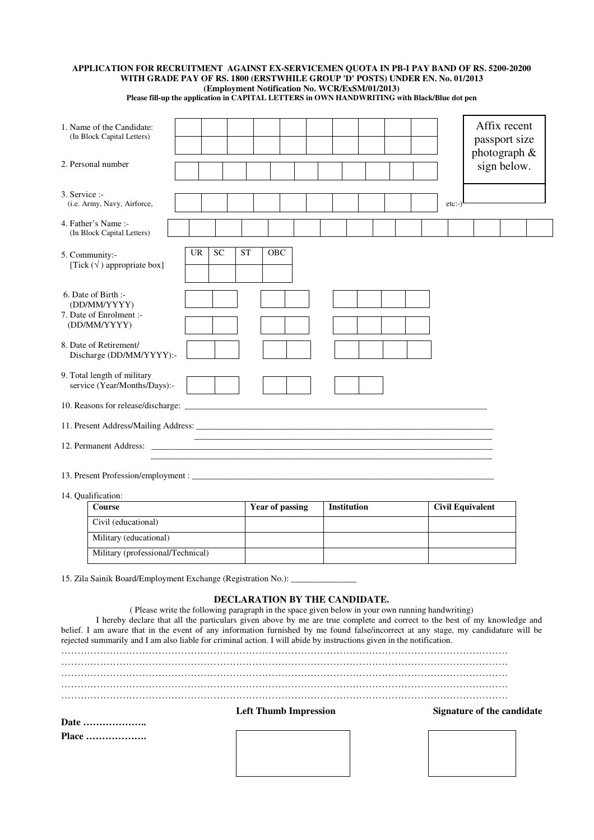#### **APPLICATION FOR RECRUITMENT AGAINST EX-SERVICEMEN QUOTA IN PB-I PAY BAND OF RS. 5200-20200 WITH GRADE PAY OF RS. 1800 (ERSTWHILE GROUP 'D' POSTS) UNDER EN. No. 01/2013 (Employment Notification No. WCR/ExSM/01/2013)**

**Please fill-up the application in CAPITAL LETTERS in OWN HANDWRITING with Black/Blue dot pen**

| 1. Name of the Candidate:<br>(In Block Capital Letters) |                                                                                                                                      |                        |                               |                                                                                                 |                                                                                                                                                                                                                                                                 | Affix recent<br>passport size<br>photograph & |
|---------------------------------------------------------|--------------------------------------------------------------------------------------------------------------------------------------|------------------------|-------------------------------|-------------------------------------------------------------------------------------------------|-----------------------------------------------------------------------------------------------------------------------------------------------------------------------------------------------------------------------------------------------------------------|-----------------------------------------------|
|                                                         | 2. Personal number                                                                                                                   |                        |                               |                                                                                                 |                                                                                                                                                                                                                                                                 | sign below.                                   |
| $3.$ Service :-                                         | (i.e. Army, Navy, Airforce,                                                                                                          |                        |                               |                                                                                                 | $etc:-)$                                                                                                                                                                                                                                                        |                                               |
|                                                         | 4. Father's Name :-<br>(In Block Capital Letters)                                                                                    |                        |                               |                                                                                                 |                                                                                                                                                                                                                                                                 |                                               |
|                                                         | 5. Community:-<br>[Tick $(\sqrt{})$ appropriate box]                                                                                 | <b>SC</b><br><b>UR</b> | <b>ST</b><br><b>OBC</b>       |                                                                                                 |                                                                                                                                                                                                                                                                 |                                               |
|                                                         | 6. Date of Birth :-<br>(DD/MM/YYYY)<br>7. Date of Enrolment :-<br>(DD/MM/YYYY)<br>8. Date of Retirement/<br>Discharge (DD/MM/YYYY):- |                        |                               |                                                                                                 |                                                                                                                                                                                                                                                                 |                                               |
|                                                         | 9. Total length of military<br>service (Year/Months/Days):-<br>10. Reasons for release/discharge: _                                  |                        |                               |                                                                                                 |                                                                                                                                                                                                                                                                 |                                               |
|                                                         |                                                                                                                                      |                        |                               |                                                                                                 |                                                                                                                                                                                                                                                                 |                                               |
|                                                         |                                                                                                                                      |                        |                               |                                                                                                 |                                                                                                                                                                                                                                                                 |                                               |
|                                                         | 14. Qualification:                                                                                                                   |                        |                               |                                                                                                 |                                                                                                                                                                                                                                                                 |                                               |
|                                                         | <b>Course</b>                                                                                                                        |                        | <b>Year of passing</b>        | <b>Institution</b>                                                                              | <b>Civil Equivalent</b>                                                                                                                                                                                                                                         |                                               |
|                                                         | Civil (educational)                                                                                                                  |                        |                               |                                                                                                 |                                                                                                                                                                                                                                                                 |                                               |
|                                                         | Military (educational)                                                                                                               |                        |                               |                                                                                                 |                                                                                                                                                                                                                                                                 |                                               |
|                                                         | Military (professional/Technical)                                                                                                    |                        |                               |                                                                                                 |                                                                                                                                                                                                                                                                 |                                               |
|                                                         | 15. Zila Sainik Board/Employment Exchange (Registration No.): _____________                                                          |                        | DECLARATION BY THE CANDIDATE. |                                                                                                 |                                                                                                                                                                                                                                                                 |                                               |
|                                                         | rejected summarily and I am also liable for criminal action. I will abide by instructions given in the notification.                 |                        |                               | (Please write the following paragraph in the space given below in your own running handwriting) | I hereby declare that all the particulars given above by me are true complete and correct to the best of my knowledge and<br>belief. I am aware that in the event of any information furnished by me found false/incorrect at any stage, my candidature will be |                                               |
|                                                         |                                                                                                                                      |                        |                               |                                                                                                 |                                                                                                                                                                                                                                                                 |                                               |
|                                                         |                                                                                                                                      |                        |                               |                                                                                                 |                                                                                                                                                                                                                                                                 |                                               |
|                                                         |                                                                                                                                      |                        |                               |                                                                                                 |                                                                                                                                                                                                                                                                 |                                               |
|                                                         |                                                                                                                                      |                        | <b>Left Thumb Impression</b>  |                                                                                                 |                                                                                                                                                                                                                                                                 |                                               |
|                                                         |                                                                                                                                      |                        |                               |                                                                                                 | Signature of the candidate                                                                                                                                                                                                                                      |                                               |
|                                                         | Date<br><b>Place </b>                                                                                                                |                        |                               |                                                                                                 |                                                                                                                                                                                                                                                                 |                                               |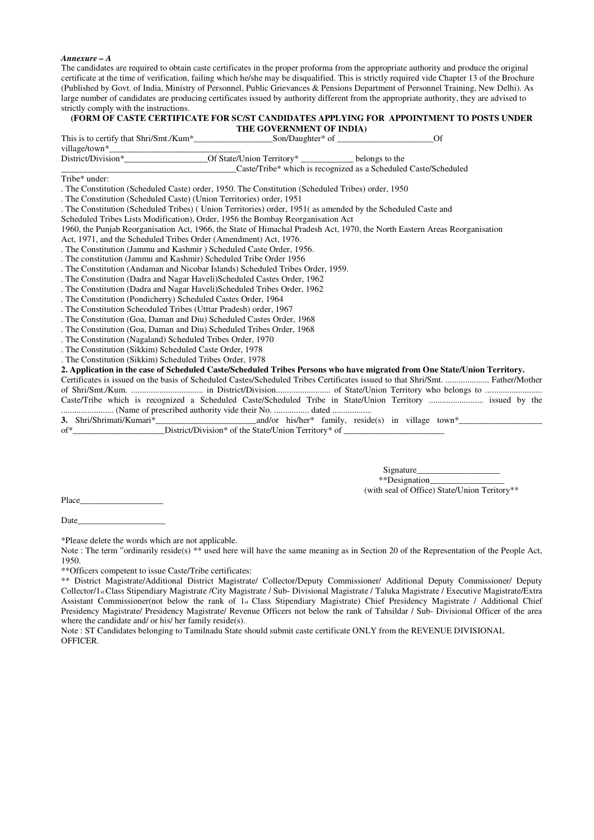#### *Annexure – A*

The candidates are required to obtain caste certificates in the proper proforma from the appropriate authority and produce the original certificate at the time of verification, failing which he/she may be disqualified. This is strictly required vide Chapter 13 of the Brochure (Published by Govt. of India, Ministry of Personnel, Public Grievances & Pensions Department of Personnel Training, New Delhi). As large number of candidates are producing certificates issued by authority different from the appropriate authority, they are advised to strictly comply with the instructions.

#### **(FORM OF CASTE CERTIFICATE FOR SC/ST CANDIDATES APPLYING FOR APPOINTMENT TO POSTS UNDER THE GOVERNMENT OF INDIA)**

This is to certify that Shri/Smt./Kum\*  $\qquad \qquad$  Son/Daughter\* of  $\qquad \qquad$  Of

village/town\*\_\_\_\_\_\_\_\_\_\_\_\_\_\_\_\_\_\_\_\_\_\_\_\_\_\_\_\_\_\_ Of State/Union Territory\* \_\_\_\_\_\_\_\_\_\_\_\_ belongs to the \_\_\_\_\_\_\_\_\_\_\_\_\_\_\_\_\_\_\_\_\_\_\_\_\_\_\_\_\_\_\_\_\_\_\_\_\_\_\_\_Caste/Tribe\* which is recognized as a Scheduled Caste/Scheduled

Tribe\* under:

. The Constitution (Scheduled Caste) order, 1950. The Constitution (Scheduled Tribes) order, 1950

. The Constitution (Scheduled Caste) (Union Territories) order, 1951

. The Constitution (Scheduled Tribes) ( Union Territories) order, 1951( as amended by the Scheduled Caste and

Scheduled Tribes Lists Modification), Order, 1956 the Bombay Reorganisation Act

1960, the Punjab Reorganisation Act, 1966, the State of Himachal Pradesh Act, 1970, the North Eastern Areas Reorganisation

Act, 1971, and the Scheduled Tribes Order (Amendment) Act, 1976.

. The Constitution (Jammu and Kashmir ) Scheduled Caste Order, 1956.

. The constitution (Jammu and Kashmir) Scheduled Tribe Order 1956

. The Constitution (Andaman and Nicobar Islands) Scheduled Tribes Order, 1959.

. The Constitution (Dadra and Nagar Haveli)Scheduled Castes Order, 1962

. The Constitution (Dadra and Nagar Haveli)Scheduled Tribes Order, 1962

. The Constitution (Pondicherry) Scheduled Castes Order, 1964

. The Constitution Scheoduled Tribes (Utttar Pradesh) order, 1967

. The Constitution (Goa, Daman and Diu) Scheduled Castes Order, 1968

. The Constitution (Goa, Daman and Diu) Scheduled Tribes Order, 1968

. The Constitution (Nagaland) Scheduled Tribes Order, 1970

. The Constitution (Sikkim) Scheduled Caste Order, 1978

. The Constitution (Sikkim) Scheduled Tribes Order, 1978

**2. Application in the case of Scheduled Caste/Scheduled Tribes Persons who have migrated from One State/Union Territory.** 

Certificates is issued on the basis of Scheduled Castes/Scheduled Tribes Certificates issued to that Shri/Smt. .................... Father/Mother of Shri/Smt./Kum. ................................. in District/Division......................... of State/Union Territory who belongs to .......................... Caste/Tribe which is recognized a Scheduled Caste/Scheduled Tribe in State/Union Territory ......................... issued by the ........................ (Name of prescribed authority vide their No. ................ dated ..................

**3.** Shri/Shrimati/Kumari\* and/or his/her\* family, reside(s) in village town\* of\*\_\_\_\_\_\_\_\_\_\_\_\_\_\_\_\_\_\_\_\_\_\_\_\_District/Division\* of the State/Union Territory\* of \_

> Signature\_\_\_\_\_\_\_\_\_\_\_\_\_\_\_\_\_\_\_ \*\*Designation\_\_\_\_\_\_\_\_\_\_\_\_\_\_\_\_\_ (with seal of Office) State/Union Teritory\*\*

Place

Date

\*Please delete the words which are not applicable.

Note : The term "ordinarily reside(s) \*\* used here will have the same meaning as in Section 20 of the Representation of the People Act, 1950.

\*\*Officers competent to issue Caste/Tribe certificates:

\*\* District Magistrate/Additional District Magistrate/ Collector/Deputy Commissioner/ Additional Deputy Commissioner/ Deputy Collector/1st Class Stipendiary Magistrate /City Magistrate / Sub- Divisional Magistrate / Taluka Magistrate / Executive Magistrate/Extra Assistant Commissioner(not below the rank of 1st Class Stipendiary Magistrate) Chief Presidency Magistrate / Additional Chief Presidency Magistrate/ Presidency Magistrate/ Revenue Officers not below the rank of Tahsildar / Sub- Divisional Officer of the area where the candidate and/ or his/ her family reside(s).

Note : ST Candidates belonging to Tamilnadu State should submit caste certificate ONLY from the REVENUE DIVISIONAL OFFICER.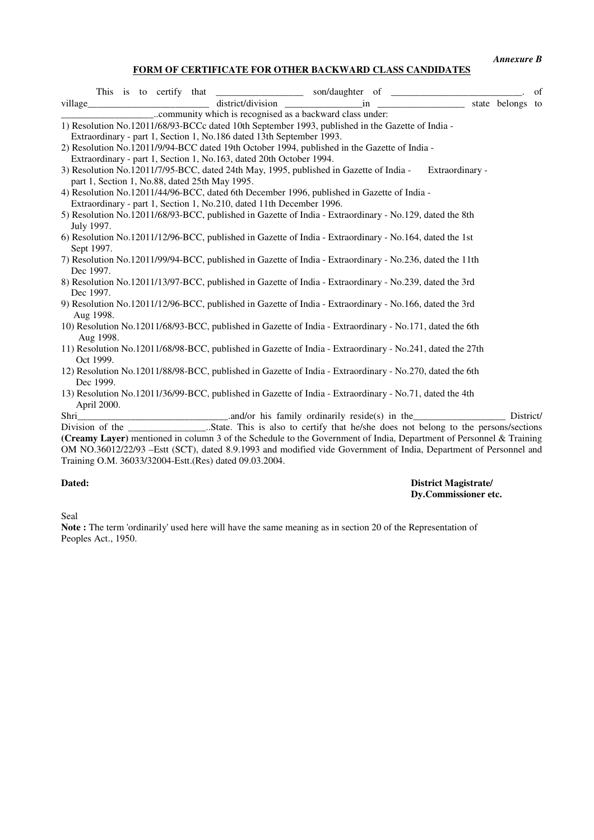*Annexure B* 

## **FORM OF CERTIFICATE FOR OTHER BACKWARD CLASS CANDIDATES**

|            |             |  |  | This is to certify that __________________ son/daughter of ______________________                                                                                                                                                                                                                                                                                     |  |                 | of |
|------------|-------------|--|--|-----------------------------------------------------------------------------------------------------------------------------------------------------------------------------------------------------------------------------------------------------------------------------------------------------------------------------------------------------------------------|--|-----------------|----|
|            |             |  |  | village state belongs to district/division in in state belongs to                                                                                                                                                                                                                                                                                                     |  |                 |    |
|            |             |  |  |                                                                                                                                                                                                                                                                                                                                                                       |  |                 |    |
|            |             |  |  | 1) Resolution No.12011/68/93-BCCc dated 10th September 1993, published in the Gazette of India -                                                                                                                                                                                                                                                                      |  |                 |    |
|            |             |  |  | Extraordinary - part 1, Section 1, No.186 dated 13th September 1993.                                                                                                                                                                                                                                                                                                  |  |                 |    |
|            |             |  |  | 2) Resolution No.12011/9/94-BCC dated 19th October 1994, published in the Gazette of India -                                                                                                                                                                                                                                                                          |  |                 |    |
|            |             |  |  | Extraordinary - part 1, Section 1, No.163, dated 20th October 1994.                                                                                                                                                                                                                                                                                                   |  |                 |    |
|            |             |  |  | 3) Resolution No.12011/7/95-BCC, dated 24th May, 1995, published in Gazette of India -<br>part 1, Section 1, No.88, dated 25th May 1995.                                                                                                                                                                                                                              |  | Extraordinary - |    |
|            |             |  |  | 4) Resolution No.12011/44/96-BCC, dated 6th December 1996, published in Gazette of India -                                                                                                                                                                                                                                                                            |  |                 |    |
|            |             |  |  | Extraordinary - part 1, Section 1, No.210, dated 11th December 1996.                                                                                                                                                                                                                                                                                                  |  |                 |    |
| July 1997. |             |  |  | 5) Resolution No.12011/68/93-BCC, published in Gazette of India - Extraordinary - No.129, dated the 8th                                                                                                                                                                                                                                                               |  |                 |    |
| Sept 1997. |             |  |  | 6) Resolution No.12011/12/96-BCC, published in Gazette of India - Extraordinary - No.164, dated the 1st                                                                                                                                                                                                                                                               |  |                 |    |
| Dec 1997.  |             |  |  | 7) Resolution No.12011/99/94-BCC, published in Gazette of India - Extraordinary - No.236, dated the 11th                                                                                                                                                                                                                                                              |  |                 |    |
| Dec 1997.  |             |  |  | 8) Resolution No.12011/13/97-BCC, published in Gazette of India - Extraordinary - No.239, dated the 3rd                                                                                                                                                                                                                                                               |  |                 |    |
|            | Aug 1998.   |  |  | 9) Resolution No.12011/12/96-BCC, published in Gazette of India - Extraordinary - No.166, dated the 3rd                                                                                                                                                                                                                                                               |  |                 |    |
|            | Aug 1998.   |  |  | 10) Resolution No.12011/68/93-BCC, published in Gazette of India - Extraordinary - No.171, dated the 6th                                                                                                                                                                                                                                                              |  |                 |    |
|            | Oct 1999.   |  |  | 11) Resolution No.12011/68/98-BCC, published in Gazette of India - Extraordinary - No.241, dated the 27th                                                                                                                                                                                                                                                             |  |                 |    |
|            | Dec 1999.   |  |  | 12) Resolution No.12011/88/98-BCC, published in Gazette of India - Extraordinary - No.270, dated the 6th                                                                                                                                                                                                                                                              |  |                 |    |
|            | April 2000. |  |  | 13) Resolution No.12011/36/99-BCC, published in Gazette of India - Extraordinary - No.71, dated the 4th                                                                                                                                                                                                                                                               |  |                 |    |
| Shri       |             |  |  | and/or his family ordinarily reside(s) in the District District<br>(Creamy Layer) mentioned in column 3 of the Schedule to the Government of India, Department of Personnel & Training<br>OM NO.36012/22/93 - Estt (SCT), dated 8.9.1993 and modified vide Government of India, Department of Personnel and<br>Training O.M. 36033/32004-Estt.(Res) dated 09.03.2004. |  |                 |    |

#### **Dated: District Magistrate/ Dy.Commissioner etc.**

Seal

**Note :** The term 'ordinarily' used here will have the same meaning as in section 20 of the Representation of Peoples Act., 1950.